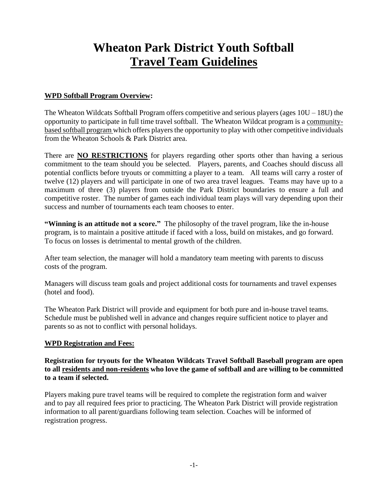# **Wheaton Park District Youth Softball Travel Team Guidelines**

#### **WPD Softball Program Overview:**

The Wheaton Wildcats Softball Program offers competitive and serious players (ages  $10U - 18U$ ) the opportunity to participate in full time travel softball. The Wheaton Wildcat program is a communitybased softball program which offers players the opportunity to play with other competitive individuals from the Wheaton Schools & Park District area.

There are **NO RESTRICTIONS** for players regarding other sports other than having a serious commitment to the team should you be selected. Players, parents, and Coaches should discuss all potential conflicts before tryouts or committing a player to a team. All teams will carry a roster of twelve (12) players and will participate in one of two area travel leagues. Teams may have up to a maximum of three (3) players from outside the Park District boundaries to ensure a full and competitive roster. The number of games each individual team plays will vary depending upon their success and number of tournaments each team chooses to enter.

**"Winning is an attitude not a score."** The philosophy of the travel program, like the in-house program, is to maintain a positive attitude if faced with a loss, build on mistakes, and go forward. To focus on losses is detrimental to mental growth of the children.

After team selection, the manager will hold a mandatory team meeting with parents to discuss costs of the program.

Managers will discuss team goals and project additional costs for tournaments and travel expenses (hotel and food).

The Wheaton Park District will provide and equipment for both pure and in-house travel teams. Schedule must be published well in advance and changes require sufficient notice to player and parents so as not to conflict with personal holidays.

#### **WPD Registration and Fees:**

**Registration for tryouts for the Wheaton Wildcats Travel Softball Baseball program are open to all residents and non-residents who love the game of softball and are willing to be committed to a team if selected.**

Players making pure travel teams will be required to complete the registration form and waiver and to pay all required fees prior to practicing. The Wheaton Park District will provide registration information to all parent/guardians following team selection. Coaches will be informed of registration progress.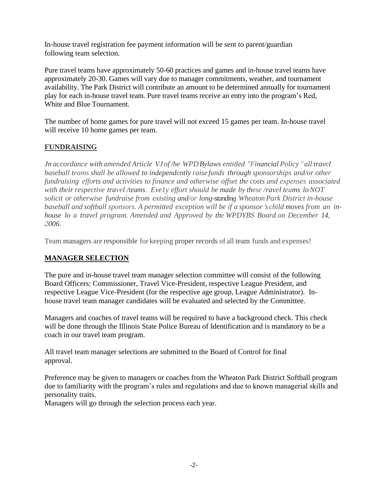In-house travel registration fee payment information will be sent to parent/guardian following team selection.

Pure travel teams have approximately 50-60 practices and games and in-house travel teams have approximately 20-30. Games will vary due to manager commitments, weather, and tournament availability. The Park District will contribute an amount to be determined annually for tournament play for each in-house travel team. Pure travel teams receive an entry into the program's Red, White and Blue Tournament.

The number of home games for pure travel will not exceed 15 games per team. In-house travel will receive 10 home games per team.

### **FUNDRAISING**

*Jn accordance with amended Article VJ of /he WPDBylaws entitled "Financial Policy "all travel baseball teams shall be allowed to independently raise funds through sponsorships and/or other fundraising efforts and activities to finance and otherwise offset the costs and expenses associated with their respective travel /teams. Eve1y effort should be made by these /ravel teams loNOT solicit or otherwise fundraise from existing and/or long-standing WheatonPark District in-house baseball and softball sponsors. A permitted exception will be if a sponsor 's child moves from an inhouse lo a travel program. Amended and Approved by the WPDYBS Board on December 14, 2006.*

Team managers are responsible for keeping proper records of all team funds and expenses!

# **MANAGER SELECTION**

The pure and in-house travel team manager selection committee will consist of the following Board Officers: Commissioner, Travel Vice-President, respective League President, and respective League Vice-President (for the respective age group, League Administrator). Inhouse travel team manager candidates will be evaluated and selected by the Committee.

Managers and coaches of travel teams will be required to have a background check. This check will be done through the Illinois State Police Bureau of Identification and is mandatory to be a coach in our travel team program.

All travel team manager selections are submitted to the Board of Control for final approval.

Preference may be given to managers or coaches from the Wheaton Park District Softball program due to familiarity with the program's rules and regulations and due to known managerial skills and personality traits.

Managers will go through the selection process each year.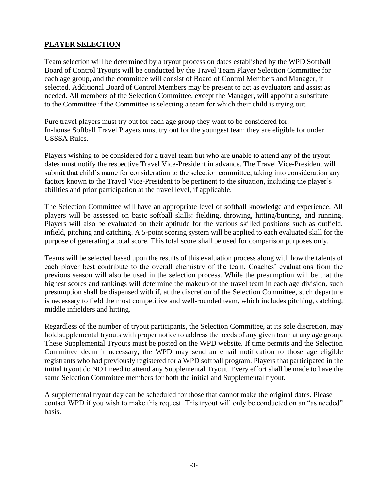# **PLAYER SELECTION**

Team selection will be determined by a tryout process on dates established by the WPD Softball Board of Control Tryouts will be conducted by the Travel Team Player Selection Committee for each age group, and the committee will consist of Board of Control Members and Manager, if selected. Additional Board of Control Members may be present to act as evaluators and assist as needed. All members of the Selection Committee, except the Manager, will appoint a substitute to the Committee if the Committee is selecting a team for which their child is trying out.

Pure travel players must try out for each age group they want to be considered for. In-house Softball Travel Players must try out for the youngest team they are eligible for under USSSA Rules.

Players wishing to be considered for a travel team but who are unable to attend any of the tryout dates must notify the respective Travel Vice-President in advance. The Travel Vice-President will submit that child's name for consideration to the selection committee, taking into consideration any factors known to the Travel Vice-President to be pertinent to the situation, including the player's abilities and prior participation at the travel level, if applicable.

The Selection Committee will have an appropriate level of softball knowledge and experience. All players will be assessed on basic softball skills: fielding, throwing, hitting/bunting, and running. Players will also be evaluated on their aptitude for the various skilled positions such as outfield, infield, pitching and catching. A 5-point scoring system will be applied to each evaluated skill for the purpose of generating a total score. This total score shall be used for comparison purposes only.

Teams will be selected based upon the results of this evaluation process along with how the talents of each player best contribute to the overall chemistry of the team. Coaches' evaluations from the previous season will also be used in the selection process. While the presumption will be that the highest scores and rankings will determine the makeup of the travel team in each age division, such presumption shall be dispensed with if, at the discretion of the Selection Committee, such departure is necessary to field the most competitive and well-rounded team, which includes pitching, catching, middle infielders and hitting.

Regardless of the number of tryout participants, the Selection Committee, at its sole discretion, may hold supplemental tryouts with proper notice to address the needs of any given team at any age group. These Supplemental Tryouts must be posted on the WPD website. If time permits and the Selection Committee deem it necessary, the WPD may send an email notification to those age eligible registrants who had previously registered for a WPD softball program. Players that participated in the initial tryout do NOT need to attend any Supplemental Tryout. Every effort shall be made to have the same Selection Committee members for both the initial and Supplemental tryout.

A supplemental tryout day can be scheduled for those that cannot make the original dates. Please contact WPD if you wish to make this request. This tryout will only be conducted on an "as needed" basis.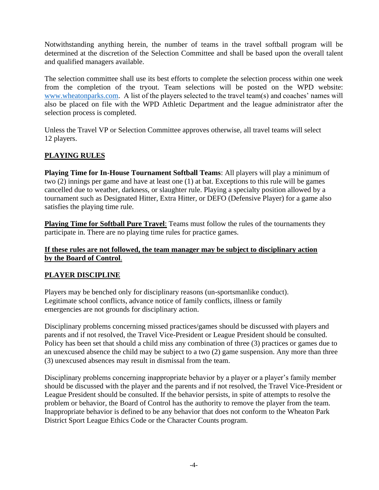Notwithstanding anything herein, the number of teams in the travel softball program will be determined at the discretion of the Selection Committee and shall be based upon the overall talent and qualified managers available.

The selection committee shall use its best efforts to complete the selection process within one week from the completion of the tryout. Team selections will be posted on the WPD website: [www.wheatonparks.com.](http://www.wheatonparks.com/) A list of the players selected to the travel team(s) and coaches' names will also be placed on file with the WPD Athletic Department and the league administrator after the selection process is completed.

Unless the Travel VP or Selection Committee approves otherwise, all travel teams will select 12 players.

# **PLAYING RULES**

**Playing Time for In-House Tournament Softball Teams**: All players will play a minimum of two (2) innings per game and have at least one (1) at bat. Exceptions to this rule will be games cancelled due to weather, darkness, or slaughter rule. Playing a specialty position allowed by a tournament such as Designated Hitter, Extra Hitter, or DEFO (Defensive Player) for a game also satisfies the playing time rule.

**Playing Time for Softball Pure Travel**: Teams must follow the rules of the tournaments they participate in. There are no playing time rules for practice games.

#### **If these rules are not followed, the team manager may be subject to disciplinary action by the Board of Control**.

#### **PLAYER DISCIPLINE**

Players may be benched only for disciplinary reasons (un-sportsmanlike conduct). Legitimate school conflicts, advance notice of family conflicts, illness or family emergencies are not grounds for disciplinary action.

Disciplinary problems concerning missed practices/games should be discussed with players and parents and if not resolved, the Travel Vice-President or League President should be consulted. Policy has been set that should a child miss any combination of three (3) practices or games due to an unexcused absence the child may be subject to a two (2) game suspension. Any more than three (3) unexcused absences may result in dismissal from the team.

Disciplinary problems concerning inappropriate behavior by a player or a player's family member should be discussed with the player and the parents and if not resolved, the Travel Vice-President or League President should be consulted. If the behavior persists, in spite of attempts to resolve the problem or behavior, the Board of Control has the authority to remove the player from the team. Inappropriate behavior is defined to be any behavior that does not conform to the Wheaton Park District Sport League Ethics Code or the Character Counts program.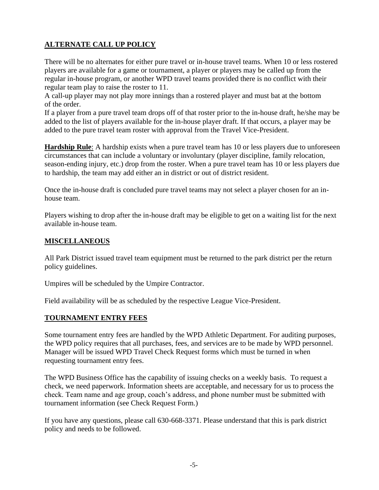# **ALTERNATE CALL UP POLICY**

There will be no alternates for either pure travel or in-house travel teams. When 10 or less rostered players are available for a game or tournament, a player or players may be called up from the regular in-house program, or another WPD travel teams provided there is no conflict with their regular team play to raise the roster to 11.

A call-up player may not play more innings than a rostered player and must bat at the bottom of the order.

If a player from a pure travel team drops off of that roster prior to the in-house draft, he/she may be added to the list of players available for the in-house player draft. If that occurs, a player may be added to the pure travel team roster with approval from the Travel Vice-President.

**Hardship Rule**: A hardship exists when a pure travel team has 10 or less players due to unforeseen circumstances that can include a voluntary or involuntary (player discipline, family relocation, season-ending injury, etc.) drop from the roster. When a pure travel team has 10 or less players due to hardship, the team may add either an in district or out of district resident.

Once the in-house draft is concluded pure travel teams may not select a player chosen for an inhouse team.

Players wishing to drop after the in-house draft may be eligible to get on a waiting list for the next available in-house team.

#### **MISCELLANEOUS**

All Park District issued travel team equipment must be returned to the park district per the return policy guidelines.

Umpires will be scheduled by the Umpire Contractor.

Field availability will be as scheduled by the respective League Vice-President.

#### **TOURNAMENT ENTRY FEES**

Some tournament entry fees are handled by the WPD Athletic Department. For auditing purposes, the WPD policy requires that all purchases, fees, and services are to be made by WPD personnel. Manager will be issued WPD Travel Check Request forms which must be turned in when requesting tournament entry fees.

The WPD Business Office has the capability of issuing checks on a weekly basis. To request a check, we need paperwork. Information sheets are acceptable, and necessary for us to process the check. Team name and age group, coach's address, and phone number must be submitted with tournament information (see Check Request Form.)

If you have any questions, please call 630-668-3371. Please understand that this is park district policy and needs to be followed.